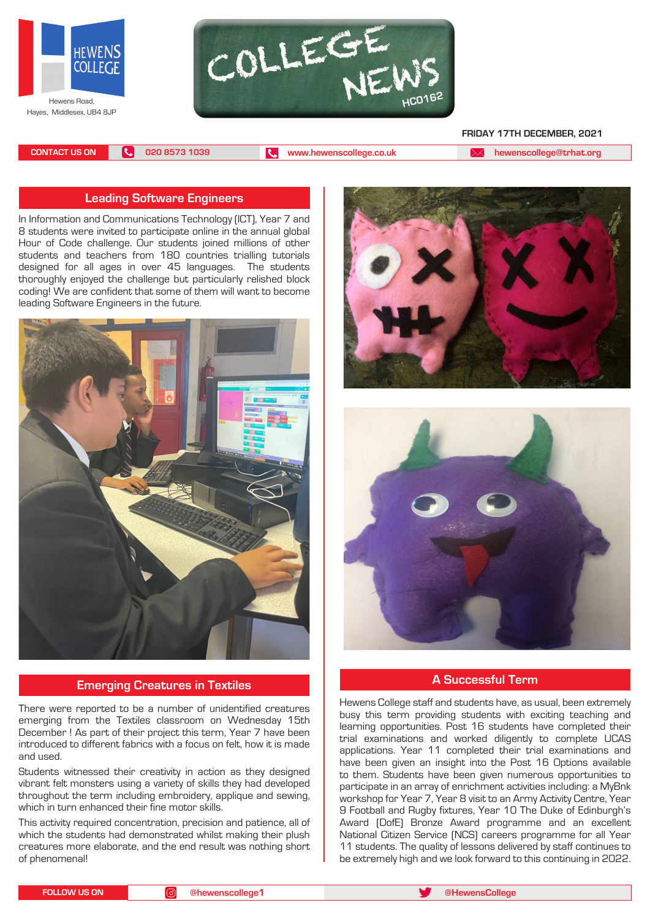



#### **FRIDAY 17TH DECEMBER, 2021**

**CONTACT US ON 020 8573 1039 [www.hewenscollege.co.uk](http://www.hewenscollege.co.uk) [hewenscollege@trhat.org](mailto:hewenscollege@trhat.org)**

### **Leading Software Engineers**

In Information and Communications Technology (ICT), Year 7 and 8 students were invited to participate online in the annual global Hour of Code challenge. Our students joined millions of other students and teachers from 180 countries trialling tutorials designed for all ages in over 45 languages. The students thoroughly enjoyed the challenge but particularly relished block coding! We are confident that some of them will want to become leading Software Engineers in the future.



### **Emerging Creatures in Textiles**

There were reported to be a number of unidentified creatures emerging from the Textiles classroom on Wednesday 15th December ! As part of their project this term, Year 7 have been introduced to different fabrics with a focus on felt, how it is made and used.

Students witnessed their creativity in action as they designed vibrant felt monsters using a variety of skills they had developed throughout the term including embroidery, applique and sewing, which in turn enhanced their fine motor skills.

This activity required concentration, precision and patience, all of which the students had demonstrated whilst making their plush creatures more elaborate, and the end result was nothing short of phenomenal!





### **A Successful Term**

Hewens College staff and students have, as usual, been extremely busy this term providing students with exciting teaching and learning opportunities. Post 16 students have completed their trial examinations and worked diligently to complete UCAS applications. Year 11 completed their trial examinations and have been given an insight into the Post 16 Options available to them. Students have been given numerous opportunities to participate in an array of enrichment activities including: a MyBnk workshop for Year 7, Year 8 visit to an Army Activity Centre, Year 9 Football and Rugby fixtures, Year 10 The Duke of Edinburgh's Award (DofE) Bronze Award programme and an excellent National Citizen Service (NCS) careers programme for all Year 11 students. The quality of lessons delivered by staff continues to be extremely high and we look forward to this continuing in 2022.